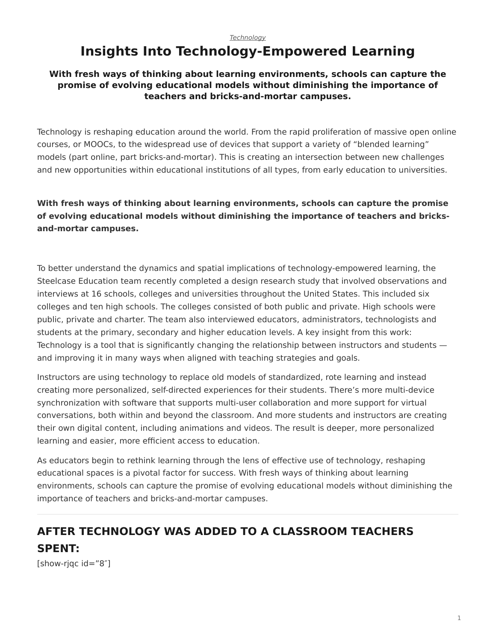## <span id="page-0-0"></span>**Insights Into Technology-Empowered Learning**

#### **With fresh ways of thinking about learning environments, schools can capture the promise of evolving educational models without diminishing the importance of teachers and bricks-and-mortar campuses.**

Technology is reshaping education around the world. From the rapid proliferation of massive open online courses, or MOOCs, to the widespread use of devices that support a variety of "blended learning" models (part online, part bricks-and-mortar). This is creating an intersection between new challenges and new opportunities within educational institutions of all types, from early education to universities.

#### **With fresh ways of thinking about learning environments, schools can capture the promise of evolving educational models without diminishing the importance of teachers and bricksand-mortar campuses.**

To better understand the dynamics and spatial implications of technology-empowered learning, the Steelcase Education team recently completed a design research study that involved observations and interviews at 16 schools, colleges and universities throughout the United States. This included six colleges and ten high schools. The colleges consisted of both public and private. High schools were public, private and charter. The team also interviewed educators, administrators, technologists and students at the primary, secondary and higher education levels. A key insight from this work: Technology is a tool that is significantly changing the relationship between instructors and students and improving it in many ways when aligned with teaching strategies and goals.

Instructors are using technology to replace old models of standardized, rote learning and instead creating more personalized, self-directed experiences for their students. There's more multi-device synchronization with software that supports multi-user collaboration and more support for virtual conversations, both within and beyond the classroom. And more students and instructors are creating their own digital content, including animations and videos. The result is deeper, more personalized learning and easier, more efficient access to education.

As educators begin to rethink learning through the lens of effective use of technology, reshaping educational spaces is a pivotal factor for success. With fresh ways of thinking about learning environments, schools can capture the promise of evolving educational models without diminishing the importance of teachers and bricks-and-mortar campuses.

# **AFTER TECHNOLOGY WAS ADDED TO A CLASSROOM TEACHERS SPENT:**

[show-rjqc id="8″]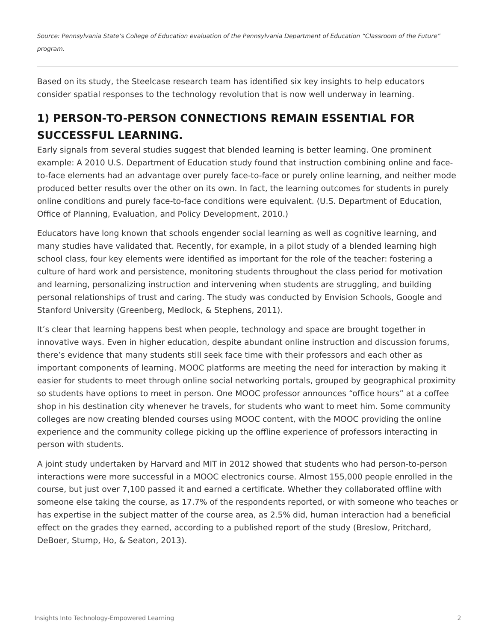*Source: Pennsylvania State's College of Education evaluation of the Pennsylvania Department of Education "Classroom of the Future" program.*

Based on its study, the Steelcase research team has identified six key insights to help educators consider spatial responses to the technology revolution that is now well underway in learning.

## **1) PERSON-TO-PERSON CONNECTIONS REMAIN ESSENTIAL FOR SUCCESSFUL LEARNING.**

Early signals from several studies suggest that blended learning is better learning. One prominent example: A 2010 U.S. Department of Education study found that instruction combining online and faceto-face elements had an advantage over purely face-to-face or purely online learning, and neither mode produced better results over the other on its own. In fact, the learning outcomes for students in purely online conditions and purely face-to-face conditions were equivalent. (U.S. Department of Education, Office of Planning, Evaluation, and Policy Development, 2010.)

Educators have long known that schools engender social learning as well as cognitive learning, and many studies have validated that. Recently, for example, in a pilot study of a blended learning high school class, four key elements were identified as important for the role of the teacher: fostering a culture of hard work and persistence, monitoring students throughout the class period for motivation and learning, personalizing instruction and intervening when students are struggling, and building personal relationships of trust and caring. The study was conducted by Envision Schools, Google and Stanford University (Greenberg, Medlock, & Stephens, 2011).

It's clear that learning happens best when people, technology and space are brought together in innovative ways. Even in higher education, despite abundant online instruction and discussion forums, there's evidence that many students still seek face time with their professors and each other as important components of learning. MOOC platforms are meeting the need for interaction by making it easier for students to meet through online social networking portals, grouped by geographical proximity so students have options to meet in person. One MOOC professor announces "office hours" at a coffee shop in his destination city whenever he travels, for students who want to meet him. Some community colleges are now creating blended courses using MOOC content, with the MOOC providing the online experience and the community college picking up the offline experience of professors interacting in person with students.

A joint study undertaken by Harvard and MIT in 2012 showed that students who had person-to-person interactions were more successful in a MOOC electronics course. Almost 155,000 people enrolled in the course, but just over 7,100 passed it and earned a certificate. Whether they collaborated offline with someone else taking the course, as 17.7% of the respondents reported, or with someone who teaches or has expertise in the subject matter of the course area, as 2.5% did, human interaction had a beneficial effect on the grades they earned, according to a published report of the study (Breslow, Pritchard, DeBoer, Stump, Ho, & Seaton, 2013).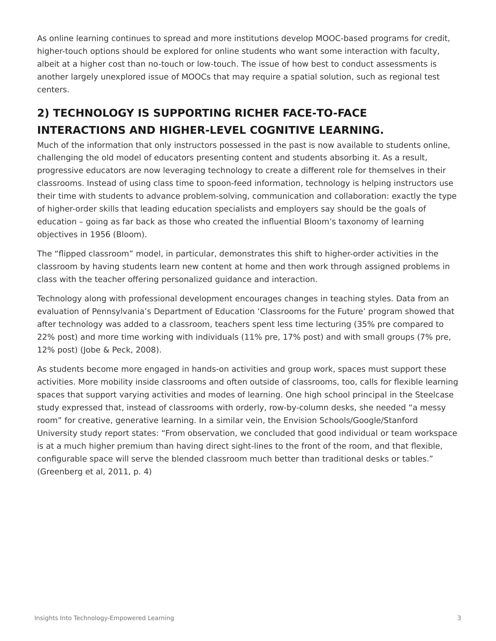As online learning continues to spread and more institutions develop MOOC-based programs for credit, higher-touch options should be explored for online students who want some interaction with faculty, albeit at a higher cost than no-touch or low-touch. The issue of how best to conduct assessments is another largely unexplored issue of MOOCs that may require a spatial solution, such as regional test centers.

## **2) TECHNOLOGY IS SUPPORTING RICHER FACE-TO-FACE INTERACTIONS AND HIGHER-LEVEL COGNITIVE LEARNING.**

Much of the information that only instructors possessed in the past is now available to students online, challenging the old model of educators presenting content and students absorbing it. As a result, progressive educators are now leveraging technology to create a different role for themselves in their classrooms. Instead of using class time to spoon-feed information, technology is helping instructors use their time with students to advance problem-solving, communication and collaboration: exactly the type of higher-order skills that leading education specialists and employers say should be the goals of education – going as far back as those who created the influential Bloom's taxonomy of learning objectives in 1956 (Bloom).

The "flipped classroom" model, in particular, demonstrates this shift to higher-order activities in the classroom by having students learn new content at home and then work through assigned problems in class with the teacher offering personalized guidance and interaction.

Technology along with professional development encourages changes in teaching styles. Data from an evaluation of Pennsylvania's Department of Education 'Classrooms for the Future' program showed that after technology was added to a classroom, teachers spent less time lecturing (35% pre compared to 22% post) and more time working with individuals (11% pre, 17% post) and with small groups (7% pre, 12% post) (Jobe & Peck, 2008).

As students become more engaged in hands-on activities and group work, spaces must support these activities. More mobility inside classrooms and often outside of classrooms, too, calls for flexible learning spaces that support varying activities and modes of learning. One high school principal in the Steelcase study expressed that, instead of classrooms with orderly, row-by-column desks, she needed "a messy room" for creative, generative learning. In a similar vein, the Envision Schools/Google/Stanford University study report states: "From observation, we concluded that good individual or team workspace is at a much higher premium than having direct sight-lines to the front of the room, and that flexible, configurable space will serve the blended classroom much better than traditional desks or tables." (Greenberg et al, 2011, p. 4)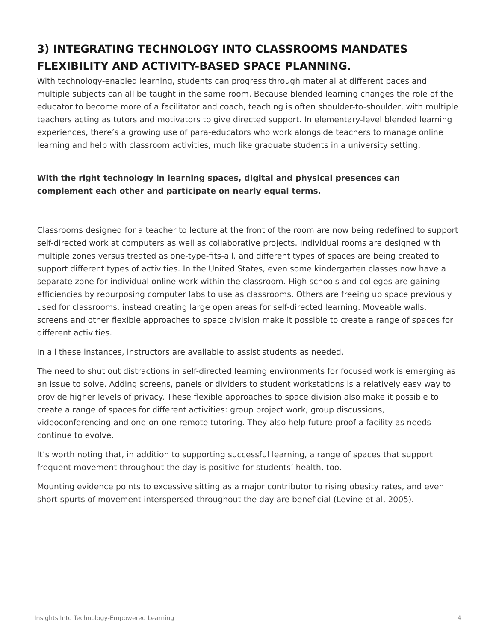## **3) INTEGRATING TECHNOLOGY INTO CLASSROOMS MANDATES FLEXIBILITY AND ACTIVITY-BASED SPACE PLANNING.**

With technology-enabled learning, students can progress through material at different paces and multiple subjects can all be taught in the same room. Because blended learning changes the role of the educator to become more of a facilitator and coach, teaching is often shoulder-to-shoulder, with multiple teachers acting as tutors and motivators to give directed support. In elementary-level blended learning experiences, there's a growing use of para-educators who work alongside teachers to manage online learning and help with classroom activities, much like graduate students in a university setting.

#### **With the right technology in learning spaces, digital and physical presences can complement each other and participate on nearly equal terms.**

Classrooms designed for a teacher to lecture at the front of the room are now being redefined to support self-directed work at computers as well as collaborative projects. Individual rooms are designed with multiple zones versus treated as one-type-fits-all, and different types of spaces are being created to support different types of activities. In the United States, even some kindergarten classes now have a separate zone for individual online work within the classroom. High schools and colleges are gaining efficiencies by repurposing computer labs to use as classrooms. Others are freeing up space previously used for classrooms, instead creating large open areas for self-directed learning. Moveable walls, screens and other flexible approaches to space division make it possible to create a range of spaces for different activities.

In all these instances, instructors are available to assist students as needed.

The need to shut out distractions in self-directed learning environments for focused work is emerging as an issue to solve. Adding screens, panels or dividers to student workstations is a relatively easy way to provide higher levels of privacy. These flexible approaches to space division also make it possible to create a range of spaces for different activities: group project work, group discussions, videoconferencing and one-on-one remote tutoring. They also help future-proof a facility as needs continue to evolve.

It's worth noting that, in addition to supporting successful learning, a range of spaces that support frequent movement throughout the day is positive for students' health, too.

Mounting evidence points to excessive sitting as a major contributor to rising obesity rates, and even short spurts of movement interspersed throughout the day are beneficial (Levine et al, 2005).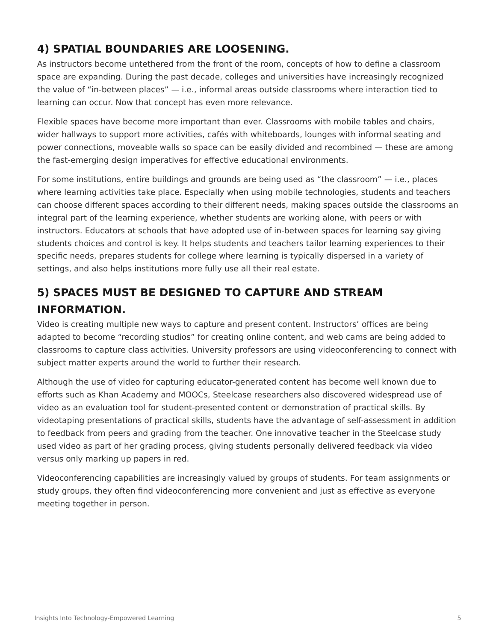### **4) SPATIAL BOUNDARIES ARE LOOSENING.**

As instructors become untethered from the front of the room, concepts of how to define a classroom space are expanding. During the past decade, colleges and universities have increasingly recognized the value of "in-between places" — i.e., informal areas outside classrooms where interaction tied to learning can occur. Now that concept has even more relevance.

Flexible spaces have become more important than ever. Classrooms with mobile tables and chairs, wider hallways to support more activities, cafés with whiteboards, lounges with informal seating and power connections, moveable walls so space can be easily divided and recombined — these are among the fast-emerging design imperatives for effective educational environments.

For some institutions, entire buildings and grounds are being used as "the classroom" — i.e., places where learning activities take place. Especially when using mobile technologies, students and teachers can choose different spaces according to their different needs, making spaces outside the classrooms an integral part of the learning experience, whether students are working alone, with peers or with instructors. Educators at schools that have adopted use of in-between spaces for learning say giving students choices and control is key. It helps students and teachers tailor learning experiences to their specific needs, prepares students for college where learning is typically dispersed in a variety of settings, and also helps institutions more fully use all their real estate.

## **5) SPACES MUST BE DESIGNED TO CAPTURE AND STREAM INFORMATION.**

Video is creating multiple new ways to capture and present content. Instructors' offices are being adapted to become "recording studios" for creating online content, and web cams are being added to classrooms to capture class activities. University professors are using videoconferencing to connect with subject matter experts around the world to further their research.

Although the use of video for capturing educator-generated content has become well known due to efforts such as Khan Academy and MOOCs, Steelcase researchers also discovered widespread use of video as an evaluation tool for student-presented content or demonstration of practical skills. By videotaping presentations of practical skills, students have the advantage of self-assessment in addition to feedback from peers and grading from the teacher. One innovative teacher in the Steelcase study used video as part of her grading process, giving students personally delivered feedback via video versus only marking up papers in red.

Videoconferencing capabilities are increasingly valued by groups of students. For team assignments or study groups, they often find videoconferencing more convenient and just as effective as everyone meeting together in person.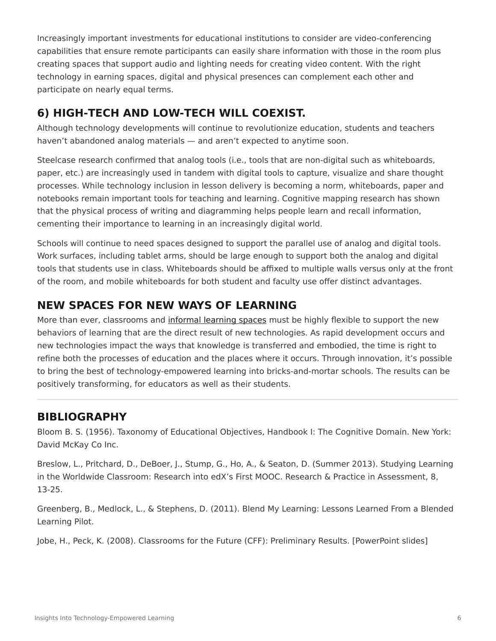Increasingly important investments for educational institutions to consider are video-conferencing capabilities that ensure remote participants can easily share information with those in the room plus creating spaces that support audio and lighting needs for creating video content. With the right technology in earning spaces, digital and physical presences can complement each other and participate on nearly equal terms.

### **6) HIGH-TECH AND LOW-TECH WILL COEXIST.**

Although technology developments will continue to revolutionize education, students and teachers haven't abandoned analog materials — and aren't expected to anytime soon.

Steelcase research confirmed that analog tools (i.e., tools that are non-digital such as whiteboards, paper, etc.) are increasingly used in tandem with digital tools to capture, visualize and share thought processes. While technology inclusion in lesson delivery is becoming a norm, whiteboards, paper and notebooks remain important tools for teaching and learning. Cognitive mapping research has shown that the physical process of writing and diagramming helps people learn and recall information, cementing their importance to learning in an increasingly digital world.

Schools will continue to need spaces designed to support the parallel use of analog and digital tools. Work surfaces, including tablet arms, should be large enough to support both the analog and digital tools that students use in class. Whiteboards should be affixed to multiple walls versus only at the front of the room, and mobile whiteboards for both student and faculty use offer distinct advantages.

### **NEW SPACES FOR NEW WAYS OF LEARNING**

More than ever, classrooms and [informal learning spaces](https://www.steelcase.com/spaces-inspiration/active-learning-spaces-in-between-spaces/) must be highly flexible to support the new behaviors of learning that are the direct result of new technologies. As rapid development occurs and new technologies impact the ways that knowledge is transferred and embodied, the time is right to refine both the processes of education and the places where it occurs. Through innovation, it's possible to bring the best of technology-empowered learning into bricks-and-mortar schools. The results can be positively transforming, for educators as well as their students.

### **BIBLIOGRAPHY**

Bloom B. S. (1956). Taxonomy of Educational Objectives, Handbook I: The Cognitive Domain. New York: David McKay Co Inc.

Breslow, L., Pritchard, D., DeBoer, J., Stump, G., Ho, A., & Seaton, D. (Summer 2013). Studying Learning in the Worldwide Classroom: Research into edX's First MOOC. Research & Practice in Assessment, 8, 13-25.

Greenberg, B., Medlock, L., & Stephens, D. (2011). Blend My Learning: Lessons Learned From a Blended Learning Pilot.

Jobe, H., Peck, K. (2008). Classrooms for the Future (CFF): Preliminary Results. [PowerPoint slides]